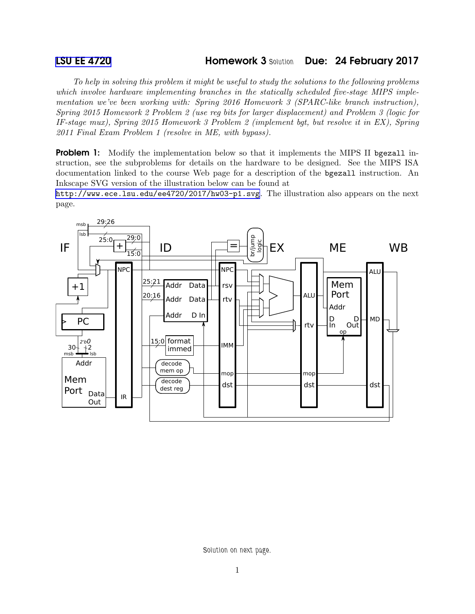## [LSU EE 4720](http://www.ece.lsu.edu/ee4720/) **Homework 3 Solution** Due: 24 February 2017

*To help in solving this problem it might be useful to study the solutions to the following problems which involve hardware implementing branches in the statically scheduled five-stage MIPS implementation we've been working with: Spring 2016 Homework 3 (SPARC-like branch instruction), Spring 2015 Homework 2 Problem 2 (use reg bits for larger displacement) and Problem 3 (logic for IF-stage mux), Spring 2015 Homework 3 Problem 2 (implement bgt, but resolve it in EX), Spring 2011 Final Exam Problem 1 (resolve in ME, with bypass).*

**Problem 1:** Modify the implementation below so that it implements the MIPS II bgezall instruction, see the subproblems for details on the hardware to be designed. See the MIPS ISA documentation linked to the course Web page for a description of the bgezall instruction. An Inkscape SVG version of the illustration below can be found at

<http://www.ece.lsu.edu/ee4720/2017/hw03-p1.svg>. The illustration also appears on the next page.



Solution on next page.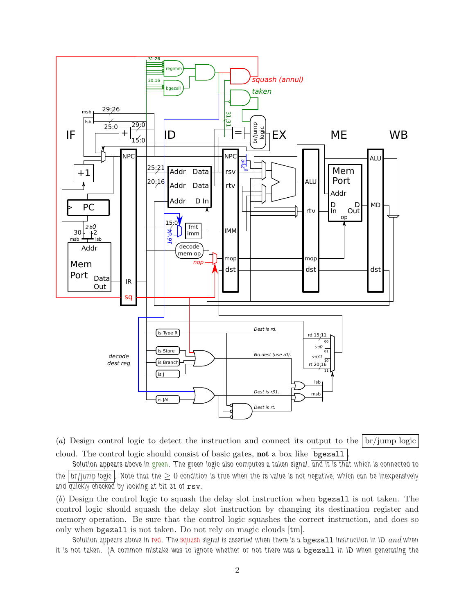

(*a*) Design control logic to detect the instruction and connect its output to the br/jump logic cloud. The control logic should consist of basic gates, **not** a box like bgezall

Solution appears above in green. The green logic also computes a taken signal, and it is that which is connected to the  $\lceil$  br/jump logic  $\lceil$ . Note that the  $\geq 0$  condition is true when the rs value is not negative, which can be inexpensively and quickly checked by looking at bit 31 of rsv.

(*b*) Design the control logic to squash the delay slot instruction when bgezall is not taken. The control logic should squash the delay slot instruction by changing its destination register and memory operation. Be sure that the control logic squashes the correct instruction, and does so only when bgezall is not taken. Do not rely on magic clouds [tm].

Solution appears above in red. The squash signal is asserted when there is a bgezall instruction in ID *and* when it is not taken. (A common mistake was to ignore whether or not there was a bgezall in ID when generating the